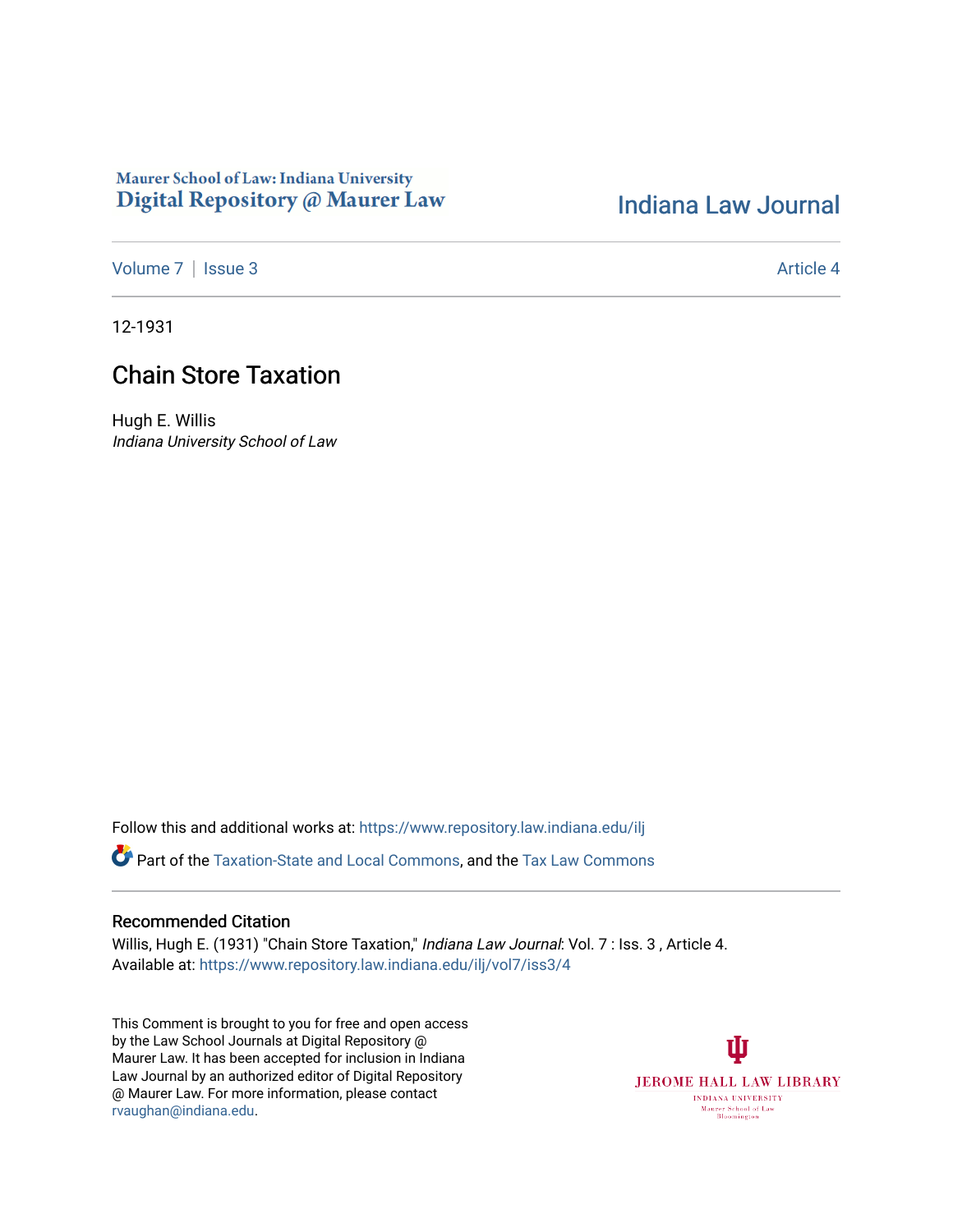### Maurer School of Law: Indiana University Digital Repository @ Maurer Law

## [Indiana Law Journal](https://www.repository.law.indiana.edu/ilj)

[Volume 7](https://www.repository.law.indiana.edu/ilj/vol7) | [Issue 3](https://www.repository.law.indiana.edu/ilj/vol7/iss3) Article 4

12-1931

# Chain Store Taxation

Hugh E. Willis Indiana University School of Law

Follow this and additional works at: [https://www.repository.law.indiana.edu/ilj](https://www.repository.law.indiana.edu/ilj?utm_source=www.repository.law.indiana.edu%2Filj%2Fvol7%2Fiss3%2F4&utm_medium=PDF&utm_campaign=PDFCoverPages) 

Part of the [Taxation-State and Local Commons,](http://network.bepress.com/hgg/discipline/882?utm_source=www.repository.law.indiana.edu%2Filj%2Fvol7%2Fiss3%2F4&utm_medium=PDF&utm_campaign=PDFCoverPages) and the [Tax Law Commons](http://network.bepress.com/hgg/discipline/898?utm_source=www.repository.law.indiana.edu%2Filj%2Fvol7%2Fiss3%2F4&utm_medium=PDF&utm_campaign=PDFCoverPages) 

#### Recommended Citation

Willis, Hugh E. (1931) "Chain Store Taxation," Indiana Law Journal: Vol. 7 : Iss. 3, Article 4. Available at: [https://www.repository.law.indiana.edu/ilj/vol7/iss3/4](https://www.repository.law.indiana.edu/ilj/vol7/iss3/4?utm_source=www.repository.law.indiana.edu%2Filj%2Fvol7%2Fiss3%2F4&utm_medium=PDF&utm_campaign=PDFCoverPages) 

This Comment is brought to you for free and open access by the Law School Journals at Digital Repository @ Maurer Law. It has been accepted for inclusion in Indiana Law Journal by an authorized editor of Digital Repository @ Maurer Law. For more information, please contact [rvaughan@indiana.edu.](mailto:rvaughan@indiana.edu)

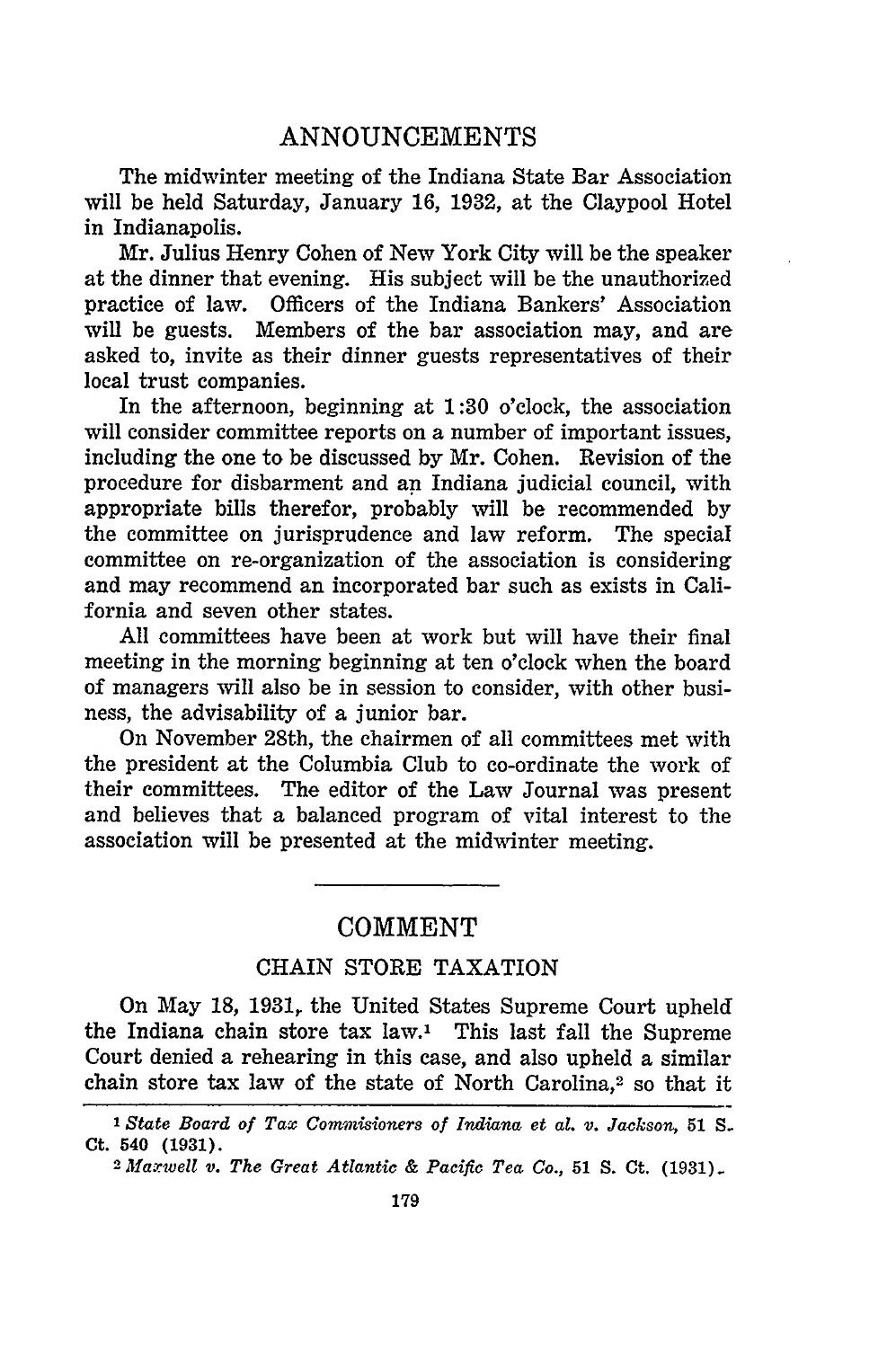#### **COMMENT**

#### CHAIN STORE TAXATION

On May 18, 1931, the United States Supreme Court upheld the Indiana chain store tax law.' This last fall the Supreme Court denied a rehearing in this case, and also upheld a similar chain store tax law of the state of North Carolina,2 so that it

*1 State Board of Tax Commisioners of Indiana et al. v. Jackson,* **51** *S.* **Ct.** 540 **(1931).**

*<sup>2</sup>faxwell v. The Great Atlantic & Pacific Tea Co.,* **51 S. Ct. (1931).**

**179**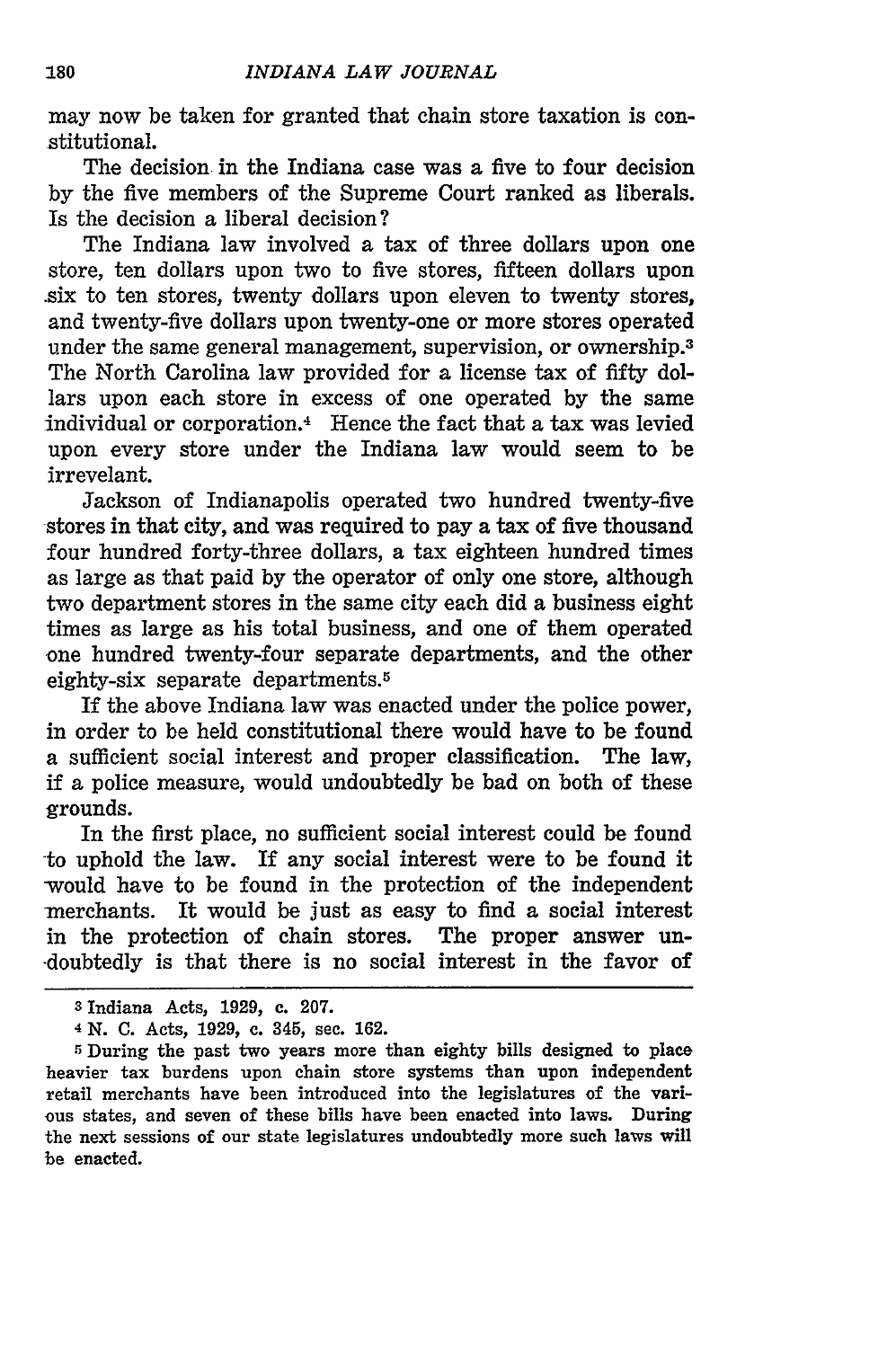may now be taken for granted that chain store taxation is constitutional.

The decision in the Indiana case was a five to four decision by the five members of the Supreme Court ranked as liberals. Is the decision a liberal decision?

The Indiana law involved a tax of three dollars upon one store, ten dollars upon two to five stores, fifteen dollars upon .six to ten stores, twenty dollars upon eleven to twenty stores, and twenty-five dollars upon twenty-one or more stores operated under the same general management, supervision, or ownership.<sup>3</sup> The North Carolina law provided for a license tax of fifty dollars upon each store in excess of one operated by the same individual or corporation.4 Hence the fact that a tax was levied upon every store under the Indiana law would seem to be irrevelant.

Jackson of Indianapolis operated two hundred twenty-five stores in that city, and was required to pay a tax of five thousand four hundred forty-three dollars, a tax eighteen hundred times as large as that paid by the operator of only one store, although two department stores in the same city each did a business eight times as large as his total business, and one of them operated one hundred twenty-four separate departments, and the other eighty-six separate departments.<sup>5</sup>

If the above Indiana law was enacted under the police power, in order to be held constitutional there would have to be found a sufficient social interest and proper classification. The law, **if** a police measure, would undoubtedly be bad on both of these grounds.

In the first place, no sufficient social interest could be found to uphold the law. If any social interest were to be found it would have to be found in the protection of the independent merchants. It would be just as easy to find a social interest in the protection of chain stores. The proper answer un- -doubtedly is that there is no social interest in the favor of

**<sup>3</sup>**Indiana Acts, 1929, c. 207.

<sup>4</sup>**N. C.** Acts, 1929, c. 345, sec. 162.

<sup>&</sup>lt;sup>5</sup> During the past two years more than eighty bills designed to place heavier tax burdens upon chain store systems than upon independent retail merchants have been introduced into the legislatures of the various states, and seven of these bills have been enacted into laws. During the next sessions of our state legislatures undoubtedly more such laws will be enacted.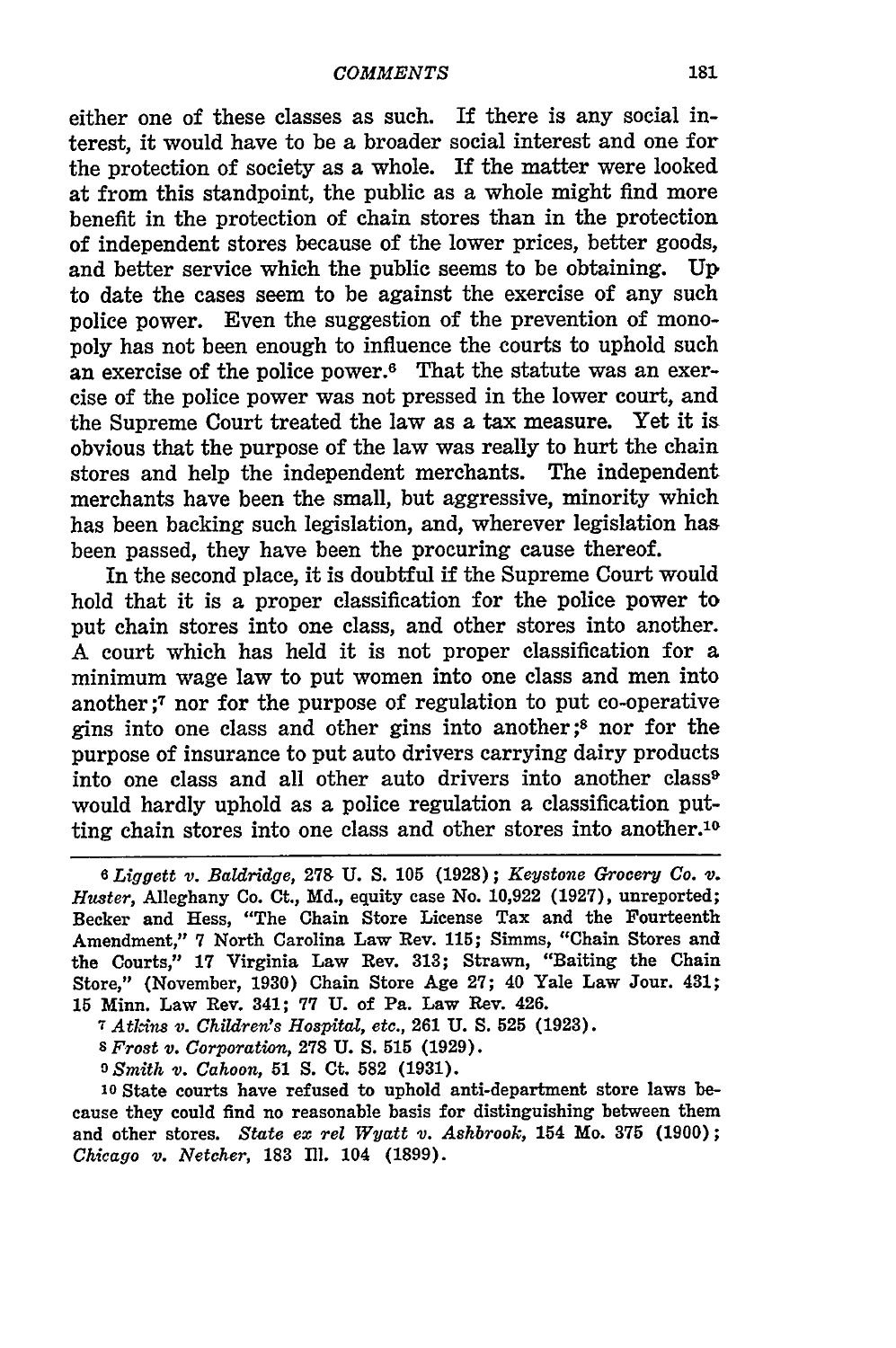either one of these classes as such. If there is any social interest, it would have to be a broader social interest and one for the protection of society as a whole. If the matter were looked at from this standpoint, the public as a whole might find more benefit in the protection of chain stores than in the protection of independent stores because of the lower prices, better goods, and better service which the public seems to be obtaining. **Up** to date the cases seem to be against the exercise of any such police power. Even the suggestion of the prevention of monopoly has not been enough to influence the courts to uphold such an exercise of the police power.<sup>6</sup> That the statute was an exercise of the police power was not pressed in the lower court, and the Supreme Court treated the law as a tax measure. Yet it is obvious that the purpose of the law was really to hurt the chain stores and help the independent merchants. The independent merchants have been the small, but aggressive, minority which has been backing such legislation, and, wherever legislation has been passed, they have been the procuring cause thereof.

In the second place, it is doubtful if the Supreme Court would hold that it is a proper classification for the police power to put chain stores into one class, and other stores into another. A court which has held it is not proper classification for a minimum wage law to put women into one class and men into another ;7 nor for the purpose of regulation to put co-operative gins into one class and other gins into another;8 nor for the purpose of insurance to put auto drivers carrying dairy products into one class and all other auto drivers into another class<sup>9</sup> would hardly uphold as a police regulation a classification putting chain stores into one class and other stores into another.<sup>10</sup>

*<sup>7</sup>Atkins v. Children's Hospital, etc.,* **261** U. **S. 525** (1923).

*s Frost v. Corporation,* **278** U. **S. 515 (1929).**

*<sup>9</sup>Smith v. Cahoon,* **51 S.** Ct. **582 (1931).**

**10** State courts have refused to uphold anti-department store laws because they could find no reasonable basis for distinguishing between them and other stores. *State ex rel Wyatt v. Ashbrook,* 154 Mo. **375 (1900);** *Chicago v. Netcher,* 183 **I1.** 104 **(1899).**

*<sup>6</sup> Liggett v. Baldridge,* **27& U. S. 105 (1928);** *Keystone Grocery Co. v. Huster,* Alleghany Co. Ct., Md., equity case No. 10,922 (1927), unreported; Becker and Hess, "The Chain Store License Tax and the Fourteenth Amendment," **7** North Carolina Law Rev. 115; Simms, "Chain Stores and the Courts," **17** Virginia Law Rev. **313;** Strawn, "Baiting the Chain Store," (November, **1930)** Chain Store Age **27;** 40 Yale Law Jour. 431; 15 Minn. Law Rev. 341; **77 U.** of Pa. Law Rev. 426.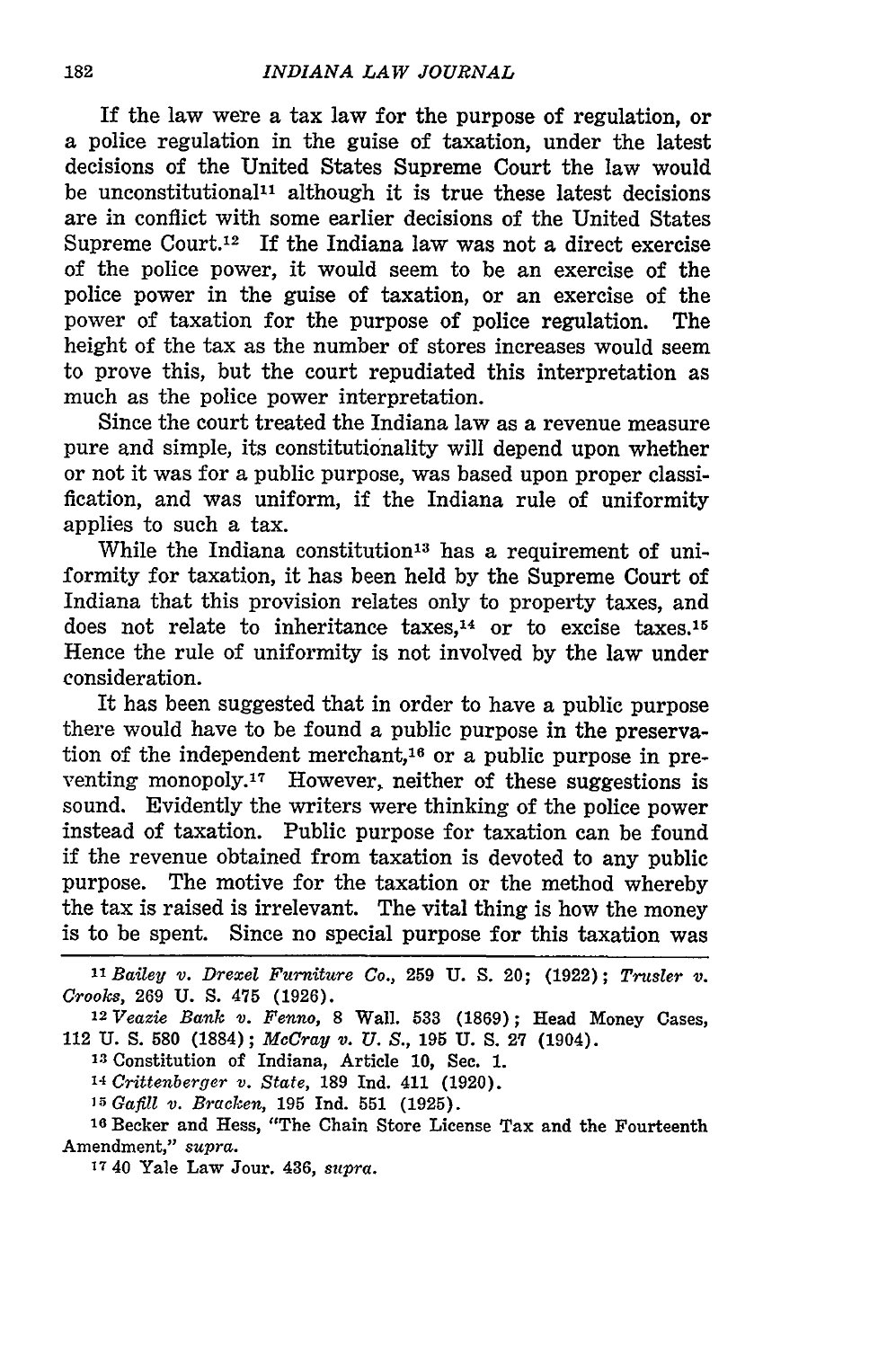If the law were a tax law for the purpose of regulation, or a police regulation in the guise of taxation, under the latest decisions of the United States Supreme Court the law would be unconstitutional<sup>11</sup> although it is true these latest decisions are in conflict with some earlier decisions of the United States Supreme Court.<sup>12</sup> If the Indiana law was not a direct exercise of the police power, it would seem to be an exercise of the police power in the guise of taxation, or an exercise of the power of taxation for the purpose of police regulation. The height of the tax as the number of stores increases would seem to prove this, but the court repudiated this interpretation as much as the police power interpretation.

Since the court treated the Indiana law as a revenue measure pure and simple, its constitutionality will depend upon whether or not it was for a public purpose, was based upon proper classification, and was uniform, if the Indiana rule of uniformity applies to such a tax.

While the Indiana constitution<sup>13</sup> has a requirement of uniformity for taxation, it has been held by the Supreme Court of Indiana that this provision relates only to property taxes, and does not relate to inheritance taxes, $14$  or to excise taxes. $15$ Hence the rule of uniformity is not involved by the law under consideration.

It has been suggested that in order to have a public purpose there would have to be found a public purpose in the preservation of the independent merchant,<sup>16</sup> or a public purpose in preventing monopoly.17 However, neither of these suggestions is sound. Evidently the writers were thinking of the police power instead of taxation. Public purpose for taxation can be found if the revenue obtained from taxation is devoted to any public purpose. The motive for the taxation or the method whereby the tax is raised is irrelevant. The vital thing is how the money is to be spent. Since no special purpose for this taxation was

**<sup>13</sup>**Constitution of Indiana, Article 10, Sec. 1.

*14 Crittenberger v. State,* **189** Ind. 411 (1920).

*1 5Gafill v. Bracken,* **195** Ind. **551 (1925).**

**16** Becker and Hess, "The Chain Store License Tax and the Fourteenth Amendment," *supra.*

**17** 40 Yale Law Jour. 436, *supra.*

*<sup>11</sup>Bailey v. Drexel Furniture Co.,* 259 U. S. 20; (1922); *Trusler v. Crooks,* 269 U. S. **475** (1926).

<sup>12</sup>*Veazie Bank v. Fenno,* **8** Wall. **533 (1869);** Head Money Cases, 112 U. **S. 580** (1884); *McCray v. U. S.,* **195** U. S. **27** (1904).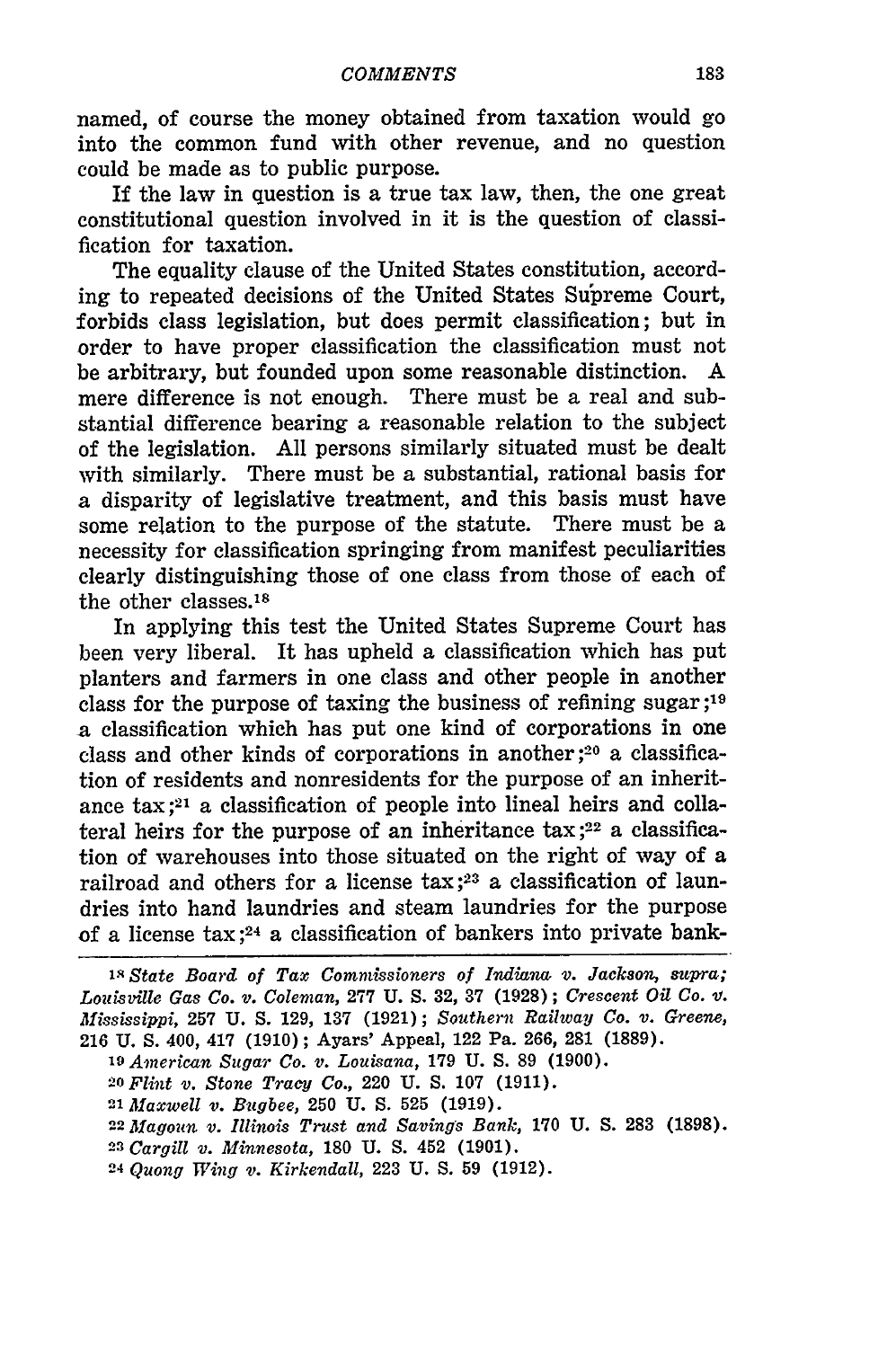named, of course the money obtained from taxation would go into the common fund with other revenue, and no question could be made as to public purpose.

If the law in question is a true tax law, then, the one great constitutional question involved in it is the question of classification for taxation.

The equality clause of the United States constitution, according to repeated decisions of the United States Supreme Court, forbids class legislation, but does permit classification; but in order to have proper classification the classification must not be arbitrary, but founded upon some reasonable distinction. A mere difference is not enough. There must be a real and substantial difference bearing a reasonable relation to the subject of the legislation. All persons similarly situated must be dealt with similarly. There must be a substantial, rational basis for a disparity of legislative treatment, and this basis must have some relation to the purpose of the statute. There must be a necessity for classification springing from manifest peculiarities clearly distinguishing those of one class from those of each of the other classes.18

In applying this test the United States Supreme Court has been very liberal. It has upheld a classification which has put planters and farmers in one class and other people in another class for the purpose of taxing the business of refining sugar ;19 a classification which has put one kind of corporations in one class and other kinds of corporations in another **;20** a classification of residents and nonresidents for the purpose of an inheritance tax ;21 a classification of people into lineal heirs and collateral heirs for the purpose of an inheritance  $\text{tax}$ ;<sup>22</sup> a classification of warehouses into those situated on the right of way of a railroad and others for a license tax **;23** a classification of laundries into hand laundries and steam laundries for the purpose of a license  $\text{tax }$ ;<sup>24</sup> a classification of bankers into private bank-

**iN** *State Board of Tax Commissioners of Indiana, v. Jackson, supra; Lozilsville Gas Co. v. Coleman,* **277** U. S. **32, 37** (1928); *Crescent Oil Co. V. Mississippi,* **257** U. S. 129, **137** (1921); *Southern Railway Co. v. Greene,* 216 **U.** S. 400, 417 (1910); Ayars' Appeal, 122 Pa. 266, 281 **(1889).**

*<sup>19</sup>American Sugar Co. v. Louisana,* **179** U. S. 89 (1900).

**<sup>20</sup>***Flint v. Stone Tracy Co.,* 220 **U.** S. 107 **(1911).**

*<sup>21</sup>Maxwell v. Bvgbee,* **250** U. **S. 525** (1919).

**<sup>22</sup>***Alagoun v. Illinois Trust and Savings Bank,* **170** U. **S. 283 (1898).**

*<sup>23</sup>Cargill v. Minnesota,* 180 U. **S.** 452 (1901).

**24** *Quong Wing v. Kirkendall,* **223** U. S. **59** (1912).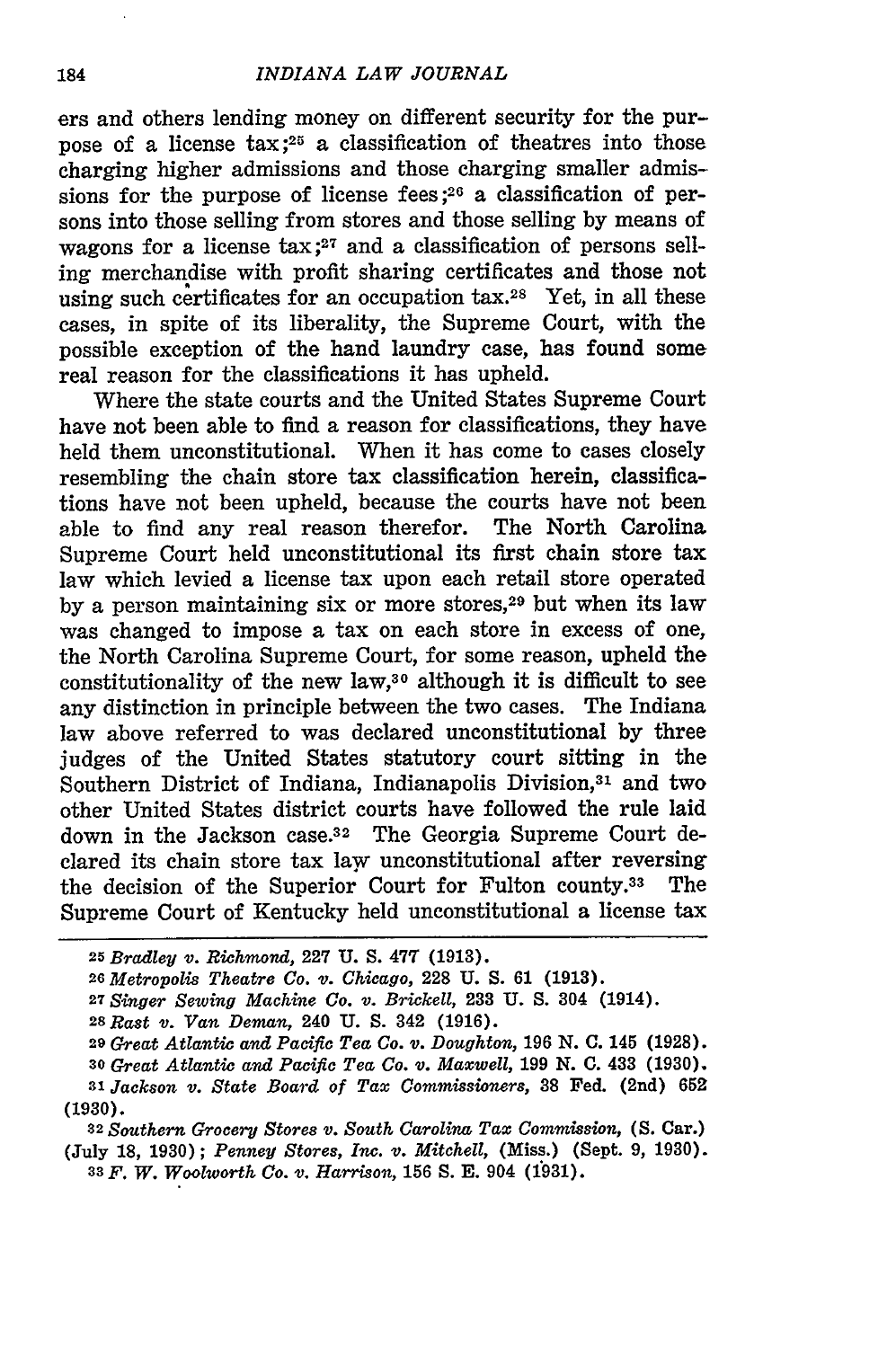ers and others lending money on different security for the purpose of a license  $\text{tax}:^{25}$  a classification of theatres into those charging higher admissions and those charging smaller admissions for the purpose of license fees;  $2<sup>6</sup>$  a classification of persons into those selling from stores and those selling by means of wagons for a license tax;<sup>27</sup> and a classification of persons selling merchandise with profit sharing certificates and those not using such certificates for an occupation tax.28 Yet, in all these cases, in spite of its liberality, the Supreme Court, with the possible exception of the hand laundry case, has found some real reason for the classifications it has upheld.

Where the state courts and the United States Supreme Court have not been able to find a reason for classifications, they have held them unconstitutional. When it has come to cases closely resembling the chain store tax classification herein, classifications have not been upheld, because the courts have not been able to find any real reason therefor. The North Carolina Supreme Court held unconstitutional its first chain store tax law which levied a license tax upon each retail store operated by a person maintaining six or more stores,<sup>29</sup> but when its law was changed to impose a tax on each store in excess of one, the North Carolina Supreme Court, for some reason, upheld the constitutionality of the new law,<sup>30</sup> although it is difficult to see any distinction in principle between the two cases. The Indiana law above referred to was declared unconstitutional by three judges of the United States statutory court sitting in the Southern District of Indiana, Indianapolis Division,<sup>31</sup> and two other United States district courts have followed the rule laid down in the Jackson case.<sup>32</sup> The Georgia Supreme Court declared its chain store tax law unconstitutional after reversing the decision of the Superior Court for Fulton county.<sup>33</sup> The Supreme Court of Kentucky held unconstitutional a license tax

**<sup>25</sup>***Bradley v. Richmond,* **227 U. S. 477 (1913).**

*<sup>26</sup>Metropolis Theatre Co. v. Chicago,* **228 U. S. 61 (1913).**

*<sup>27</sup>Singer Sewing Machine Co. v. Brickell,* **233 U. S.** 304 (1914).

*<sup>28</sup> Rast v. Van Deman,* 240 **U. S.** 342 (1916).

**<sup>29</sup>***Great Atlantic and Pacific Tea Co. v. Doughton,* 196 **N. C.** 145 (1928). *<sup>30</sup>Great Atlantic and Pacific Tea Co. v. Maxwell,* **199 N. C.** 433 (1930). **<sup>31</sup>***Jackson v. State Board of Tax Commissioners,* **38** Fed. (2nd) **652 (1930).**

**<sup>32</sup>***Southern Grocery Stores v. South Carolina Tax Commission,* **(S.** Car.) (July **18,** 1930); *Penney Stores, Inc. v. Mitchell,* (Miss.) (Sept. 9, 1930). **33** *F. W. Woolworth Co. v. Harrison,* **156 S.** E. 904 (1931).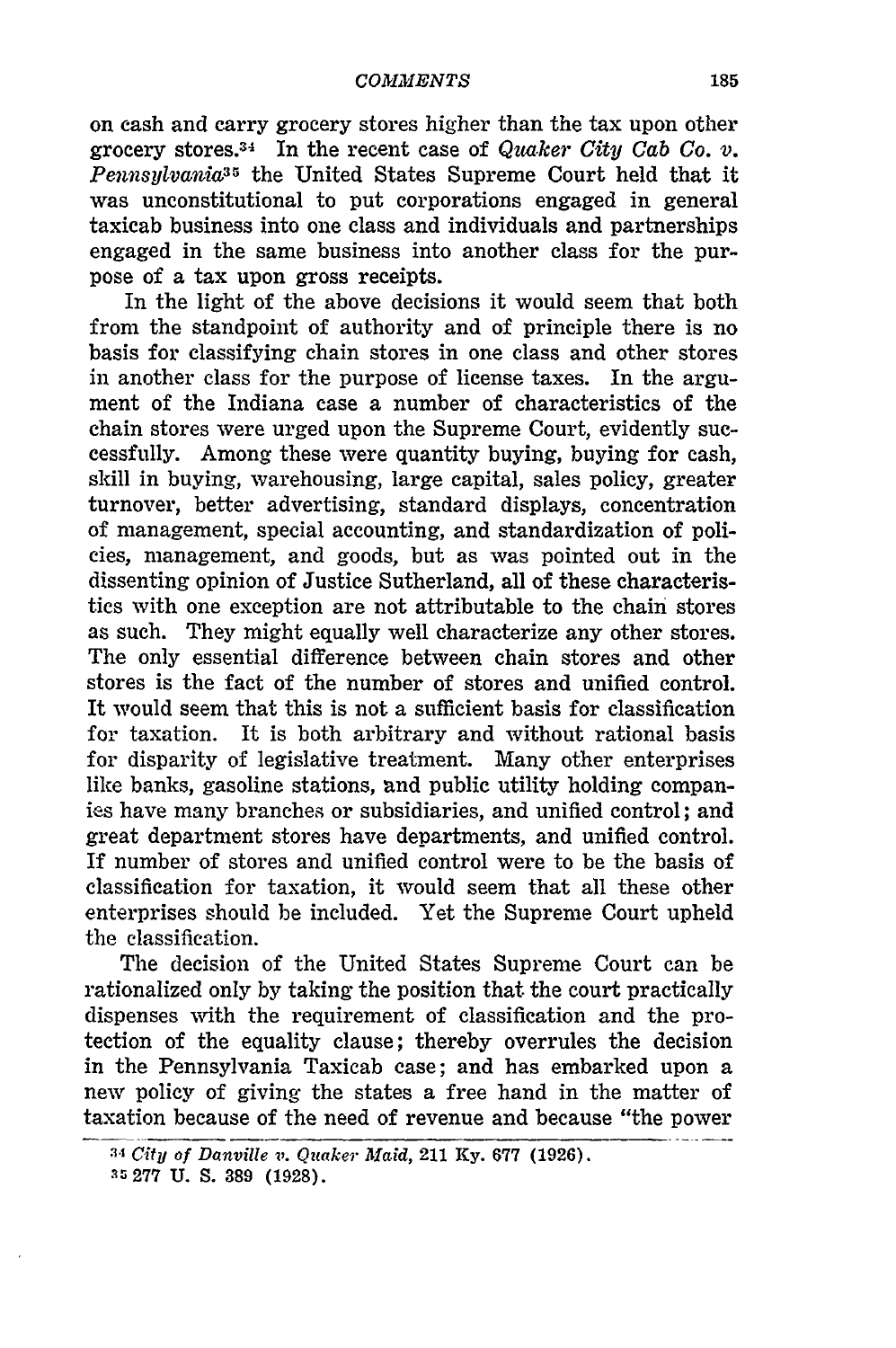on cash and carry grocery stores higher than the tax upon other grocery stores. 34 In the recent case of *Quaker City Cab Co. v. Pennsylvania:3* the United States Supreme Court held that it was unconstitutional to put corporations engaged in general taxicab business into one class and individuals and partnerships engaged in the same business into another class for the purpose of a tax upon gross receipts.

In the light of the above decisions it would seem that both from the standpoint of authority and of principle there is no basis for classifying chain stores in one class and other stores in another class for the purpose of license taxes. In the argument of the Indiana case a number of characteristics of the chain stores were urged upon the Supreme Court, evidently successfully. Among these were quantity buying, buying for cash, skill in buying, warehousing, large capital, sales policy, greater turnover, better advertising, standard displays, concentration of management, special accounting, and standardization of policies, management, and goods, but as was pointed out in the dissenting opinion of Justice Sutherland, all of these characteristics with one exception are not attributable to the chain stores as such. They might equally well characterize any other stores. The only essential difference between chain stores and other stores is the fact of the number of stores and unified control. It would seem that this is not a sufficient basis for classification for taxation. It is both arbitrary and without rational basis for disparity of legislative treatment. Many other enterprises like banks, gasoline stations, and public utility holding companies have many branches or subsidiaries, and unified control; and great department stores have departments, and unified control. If number of stores and unified control were to be the basis of classification for taxation, it would seem that all these other enterprises should be included. Yet the Supreme Court upheld the classification.

The decision of the United States Supreme Court can be rationalized only by taking the position that the court practically dispenses with the requirement of classification and the protection of the equality clause; thereby overrules the decision in the Pennsylvania Taxicab case; and has embarked upon a new policy of giving the states a free hand in the matter of taxation because of the need of revenue and because "the power

<sup>.</sup>' *City of Danville* v. *Quaker Maid,* 211 Ky. 677 (1926). **35277** U. **S. 389** (1928).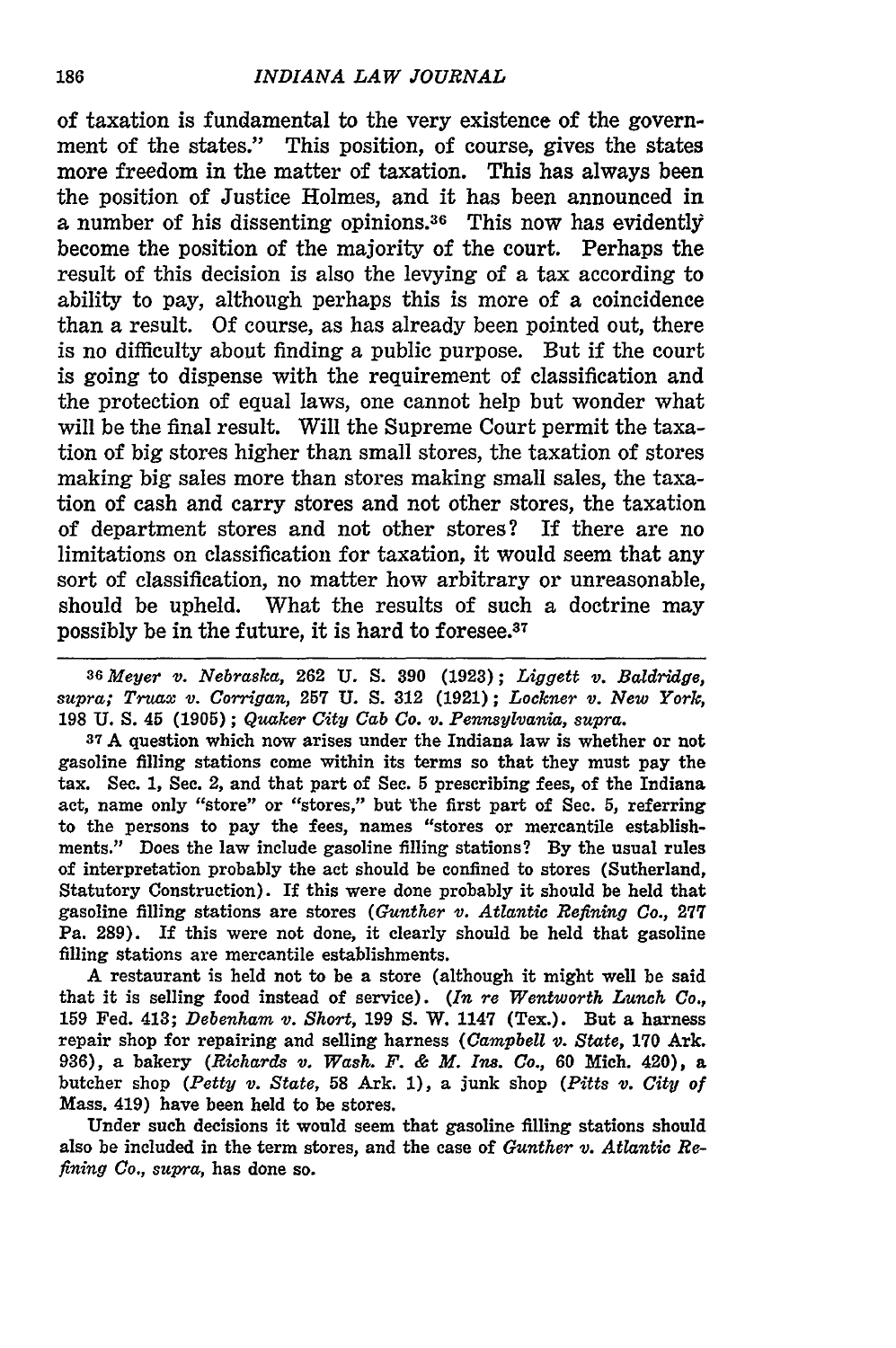of taxation is fundamental to the very existence of the government of the states." This position, of course, gives the states more freedom in the matter of taxation. This has always been the position of Justice Holmes, and it has been announced in a number of his dissenting opinions.<sup>36</sup> This now has evidently become the position of the majority of the court. Perhaps the result of this decision is also the levying of a tax according to ability to pay, although perhaps this is more of a coincidence than a result. **Of** course, as has already been pointed out, there is no difficulty about finding a public purpose. But if the court is going to dispense with the requirement of classification and the protection of equal laws, one cannot help but wonder what will be the final result. Will the Supreme Court permit the taxation of big stores higher than small stores, the taxation of stores making big sales more than stores making small sales, the taxation of cash and carry stores and not other stores, the taxation of department stores and not other stores? If there are no limitations on classification for taxation, it would seem that any sort of classification, no matter how arbitrary or unreasonable, should be upheld. What the results of such a doctrine may possibly be in the future, it is hard to foresee.<sup>37</sup>

*<sup>36</sup>Meyer v. Nebraska,* **262 U. S. 390** (1923); *Liggett v. Baldridge, supra; Truax v. Corrigan,* **257 U. S. 312 (1921);** *Lockner v. New York,* **198 U. S.** 45 **(1905);** *Quaker City Cab Co. v. Pennsylvania, supra.*

**<sup>37</sup>**A question which now arises under the Indiana law is whether or not gasoline filling stations come within its terms so that they must pay the tax. Sec. 1, Sec. 2, and that part of Sec. **5** prescribing fees, of the Indiana act, name only "store" or "stores," but the first part of See. **5,** referring to the persons to pay the fees, names "stores or mercantile establishments." Does the law include gasoline filling stations? By the usual rules of interpretation probably the act should be confined to stores (Sutherland, Statutory Construction). If this were done probably it should be held that gasoline filling stations are stores *(Gunther v. Atlantic Refining Co.,* 277 Pa. 289). If this were not done, it clearly should be held that gasoline filling stations are mercantile establishments.

A restaurant is held not to be a store (although it might well be said that it is selling food instead of service). *(In re Wentworth Lunch Co.,* **159** Fed. 413; *Debenham v. Short,* 199 **S.** W. 1147 (Tex.). But a harness repair shop for repairing and selling harness *(Campbell v. State,* **170** Ark. 936), a bakery *(Richards v. Wash. F. & M. Ins. Co.,* **60** Mich. 420), a butcher shop *(Petty v. State,* **58** Ark. **1),** a junk shop *(Pitts v. City of* Mass. 419) have been held to be stores.

Under such decisions it would seem that gasoline filling stations should also be included in the term stores, and the case of *Gunther v. Atlantic Refining Co., supra,* has done so.